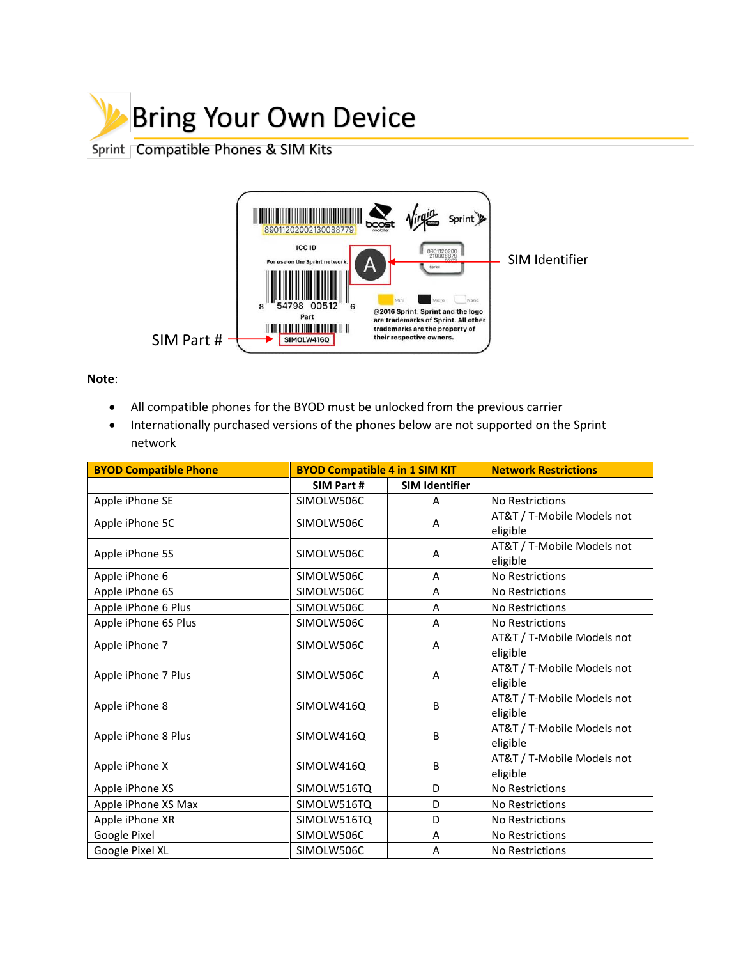

## Sprint Compatible Phones & SIM Kits



**Note**:

- All compatible phones for the BYOD must be unlocked from the previous carrier
- Internationally purchased versions of the phones below are not supported on the Sprint network

| <b>BYOD Compatible Phone</b> | <b>BYOD Compatible 4 in 1 SIM KIT</b> |                       | <b>Network Restrictions</b>            |
|------------------------------|---------------------------------------|-----------------------|----------------------------------------|
|                              | SIM Part #                            | <b>SIM Identifier</b> |                                        |
| Apple iPhone SE              | SIMOLW506C                            | A                     | No Restrictions                        |
| Apple iPhone 5C              | SIMOLW506C                            | Α                     | AT&T / T-Mobile Models not<br>eligible |
| Apple iPhone 5S              | SIMOLW506C                            | A                     | AT&T / T-Mobile Models not<br>eligible |
| Apple iPhone 6               | SIMOLW506C                            | A                     | No Restrictions                        |
| Apple iPhone 6S              | SIMOLW506C                            | A                     | No Restrictions                        |
| Apple iPhone 6 Plus          | SIMOLW506C                            | A                     | No Restrictions                        |
| Apple iPhone 6S Plus         | SIMOLW506C                            | A                     | No Restrictions                        |
| Apple iPhone 7               | SIMOLW506C                            | A                     | AT&T / T-Mobile Models not<br>eligible |
| Apple iPhone 7 Plus          | SIMOLW506C                            | A                     | AT&T / T-Mobile Models not<br>eligible |
| Apple iPhone 8               | SIMOLW416Q                            | B                     | AT&T / T-Mobile Models not<br>eligible |
| Apple iPhone 8 Plus          | SIMOLW416Q                            | B                     | AT&T / T-Mobile Models not<br>eligible |
| Apple iPhone X               | SIMOLW416Q                            | B                     | AT&T / T-Mobile Models not<br>eligible |
| Apple iPhone XS              | SIMOLW516TQ                           | D                     | No Restrictions                        |
| Apple iPhone XS Max          | SIMOLW516TQ                           | D                     | No Restrictions                        |
| Apple iPhone XR              | SIMOLW516TQ                           | D                     | No Restrictions                        |
| Google Pixel                 | SIMOLW506C                            | A                     | No Restrictions                        |
| Google Pixel XL              | SIMOLW506C                            | A                     | No Restrictions                        |